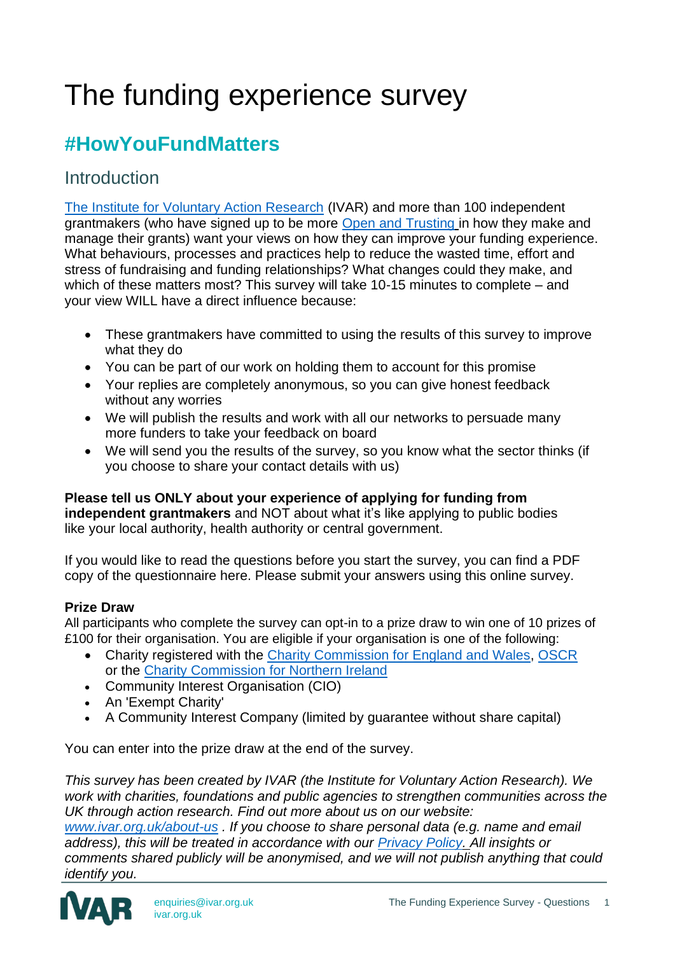# The funding experience survey

# **#HowYouFundMatters**

## **Introduction**

[The Institute for Voluntary Action Research](https://www.ivar.org.uk/) (IVAR) and more than 100 independent grantmakers (who have signed up to be more [Open and Trusting](http://www.ivar.org.uk/flexible-funders) in how they make and manage their grants) want your views on how they can improve your funding experience. What behaviours, processes and practices help to reduce the wasted time, effort and stress of fundraising and funding relationships? What changes could they make, and which of these matters most? This survey will take 10-15 minutes to complete – and your view WILL have a direct influence because:

- These grantmakers have committed to using the results of this survey to improve what they do
- You can be part of our work on holding them to account for this promise
- Your replies are completely anonymous, so you can give honest feedback without any worries
- We will publish the results and work with all our networks to persuade many more funders to take your feedback on board
- We will send you the results of the survey, so you know what the sector thinks (if you choose to share your contact details with us)

#### **Please tell us ONLY about your experience of applying for funding from**

**independent grantmakers** and NOT about what it's like applying to public bodies like your local authority, health authority or central government.

If you would like to read the questions before you start the survey, you can find a PDF copy of the questionnaire here. Please submit your answers using this online survey.

#### **Prize Draw**

All participants who complete the survey can opt-in to a prize draw to win one of 10 prizes of £100 for their organisation. You are eligible if your organisation is one of the following:

- Charity registered with the [Charity Commission for England and Wales,](https://www.gov.uk/government/organisations/charity-commission) [OSCR](https://www.oscr.org.uk/) or the [Charity Commission for Northern Ireland](https://www.charitycommissionni.org.uk/)
- Community Interest Organisation (CIO)
- An 'Exempt Charity'
- A Community Interest Company (limited by guarantee without share capital)

You can enter into the prize draw at the end of the survey.

*This survey has been created by IVAR (the Institute for Voluntary Action Research). We work with charities, foundations and public agencies to strengthen communities across the UK through action research. Find out more about us on our website: [www.ivar.org.uk/about-us](http://www.ivar.org.uk/about-us) . If you choose to share personal data (e.g. name and email*

*address), this will be treated in accordance with our [Privacy Policy. A](https://www.ivar.org.uk/privacy/)ll insights or comments shared publicly will be anonymised, and we will not publish anything that could identify you.*

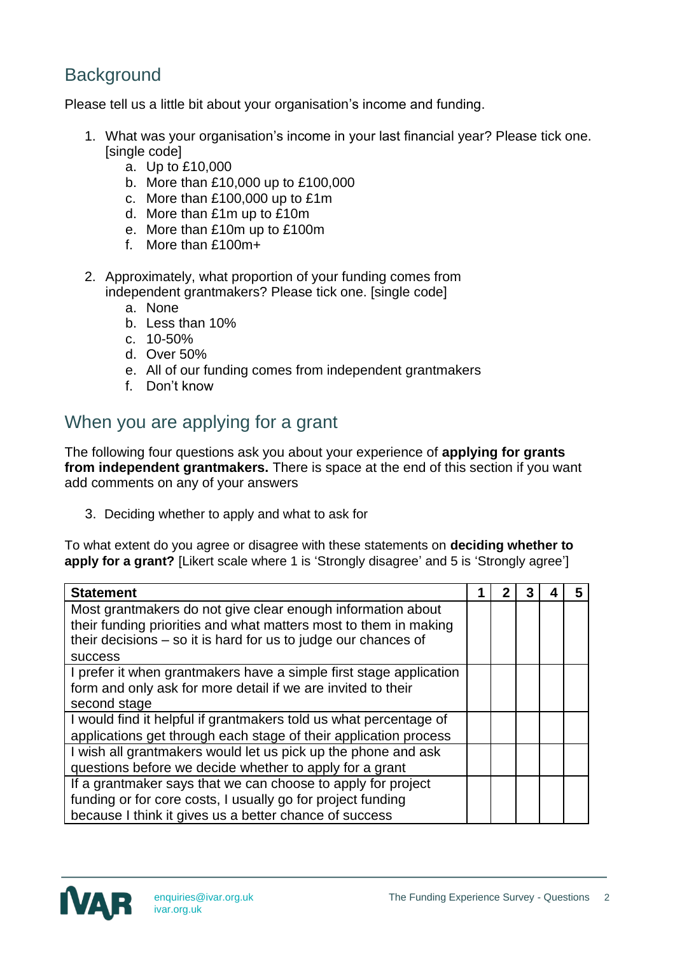# **Background**

Please tell us a little bit about your organisation's income and funding.

- 1. What was your organisation's income in your last financial year? Please tick one. [single code]
	- a. Up to £10,000
	- b. More than £10,000 up to £100,000
	- c. More than £100,000 up to £1m
	- d. More than £1m up to £10m
	- e. More than £10m up to £100m
	- f. More than £100m+
- 2. Approximately, what proportion of your funding comes from independent grantmakers? Please tick one. [single code]
	- a. None
	- b. Less than 10%
	- c. 10-50%
	- d. Over 50%
	- e. All of our funding comes from independent grantmakers
	- f. Don't know

## When you are applying for a grant

The following four questions ask you about your experience of **applying for grants from independent grantmakers.** There is space at the end of this section if you want add comments on any of your answers

3. Deciding whether to apply and what to ask for

To what extent do you agree or disagree with these statements on **deciding whether to apply for a grant?** [Likert scale where 1 is 'Strongly disagree' and 5 is 'Strongly agree']

| <b>Statement</b>                                                   |  |  |  |
|--------------------------------------------------------------------|--|--|--|
| Most grantmakers do not give clear enough information about        |  |  |  |
| their funding priorities and what matters most to them in making   |  |  |  |
| their decisions $-$ so it is hard for us to judge our chances of   |  |  |  |
| <b>success</b>                                                     |  |  |  |
| I prefer it when grantmakers have a simple first stage application |  |  |  |
| form and only ask for more detail if we are invited to their       |  |  |  |
| second stage                                                       |  |  |  |
| I would find it helpful if grantmakers told us what percentage of  |  |  |  |
| applications get through each stage of their application process   |  |  |  |
| I wish all grantmakers would let us pick up the phone and ask      |  |  |  |
| questions before we decide whether to apply for a grant            |  |  |  |
| If a grantmaker says that we can choose to apply for project       |  |  |  |
| funding or for core costs, I usually go for project funding        |  |  |  |
| because I think it gives us a better chance of success             |  |  |  |

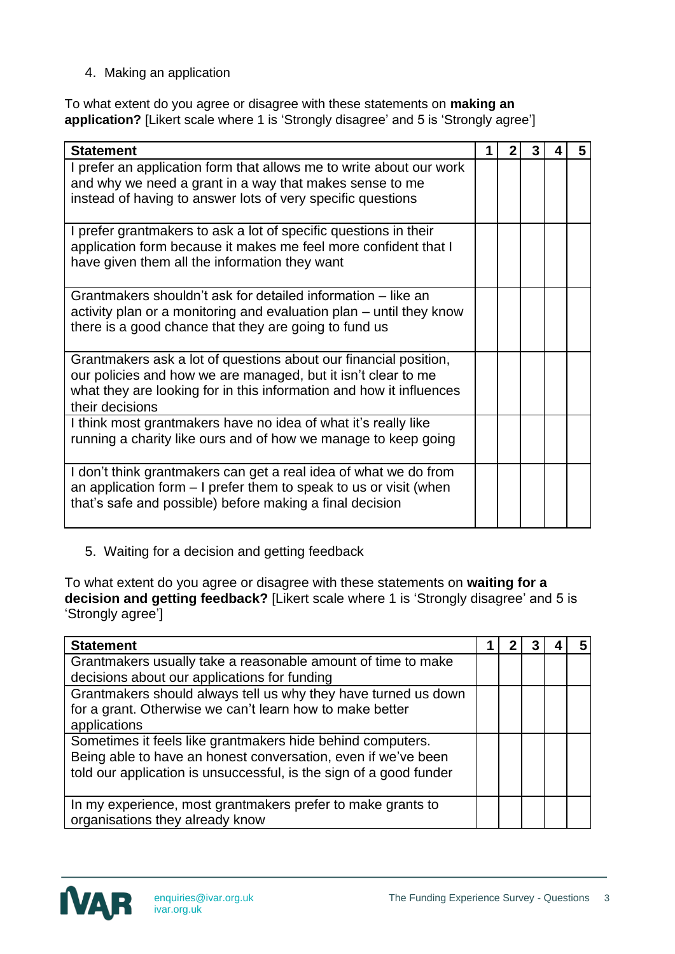4. Making an application

To what extent do you agree or disagree with these statements on **making an application?** [Likert scale where 1 is 'Strongly disagree' and 5 is 'Strongly agree']

| <b>Statement</b>                                                    |  | 3 | 5 |
|---------------------------------------------------------------------|--|---|---|
| I prefer an application form that allows me to write about our work |  |   |   |
| and why we need a grant in a way that makes sense to me             |  |   |   |
| instead of having to answer lots of very specific questions         |  |   |   |
| I prefer grantmakers to ask a lot of specific questions in their    |  |   |   |
| application form because it makes me feel more confident that I     |  |   |   |
| have given them all the information they want                       |  |   |   |
| Grantmakers shouldn't ask for detailed information – like an        |  |   |   |
| activity plan or a monitoring and evaluation plan – until they know |  |   |   |
| there is a good chance that they are going to fund us               |  |   |   |
|                                                                     |  |   |   |
| Grantmakers ask a lot of questions about our financial position,    |  |   |   |
| our policies and how we are managed, but it isn't clear to me       |  |   |   |
| what they are looking for in this information and how it influences |  |   |   |
| their decisions                                                     |  |   |   |
| I think most grantmakers have no idea of what it's really like      |  |   |   |
| running a charity like ours and of how we manage to keep going      |  |   |   |
|                                                                     |  |   |   |
| I don't think grantmakers can get a real idea of what we do from    |  |   |   |
| an application form $-1$ prefer them to speak to us or visit (when  |  |   |   |
| that's safe and possible) before making a final decision            |  |   |   |
|                                                                     |  |   |   |

5. Waiting for a decision and getting feedback

To what extent do you agree or disagree with these statements on **waiting for a decision and getting feedback?** [Likert scale where 1 is 'Strongly disagree' and 5 is 'Strongly agree']

| <b>Statement</b>                                                   |  |  | 5 |
|--------------------------------------------------------------------|--|--|---|
| Grantmakers usually take a reasonable amount of time to make       |  |  |   |
| decisions about our applications for funding                       |  |  |   |
| Grantmakers should always tell us why they have turned us down     |  |  |   |
| for a grant. Otherwise we can't learn how to make better           |  |  |   |
| applications                                                       |  |  |   |
| Sometimes it feels like grantmakers hide behind computers.         |  |  |   |
| Being able to have an honest conversation, even if we've been      |  |  |   |
| told our application is unsuccessful, is the sign of a good funder |  |  |   |
|                                                                    |  |  |   |
| In my experience, most grantmakers prefer to make grants to        |  |  |   |
| organisations they already know                                    |  |  |   |

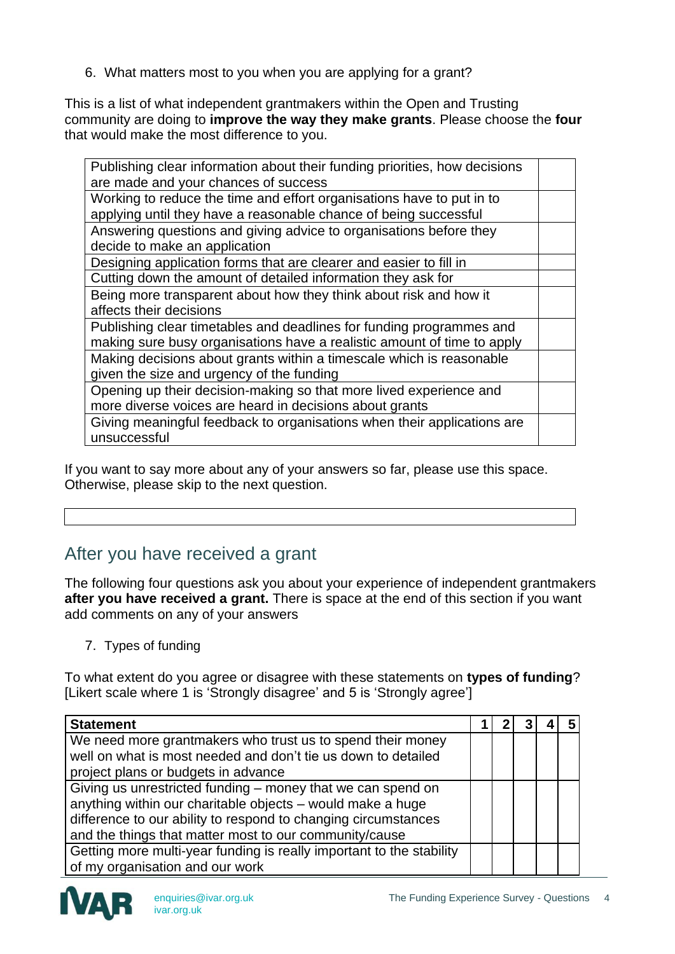6. What matters most to you when you are applying for a grant?

This is a list of what independent grantmakers within the Open and Trusting community are doing to **improve the way they make grants**. Please choose the **four** that would make the most difference to you.

| Publishing clear information about their funding priorities, how decisions |  |
|----------------------------------------------------------------------------|--|
| are made and your chances of success                                       |  |
| Working to reduce the time and effort organisations have to put in to      |  |
| applying until they have a reasonable chance of being successful           |  |
| Answering questions and giving advice to organisations before they         |  |
| decide to make an application                                              |  |
| Designing application forms that are clearer and easier to fill in         |  |
| Cutting down the amount of detailed information they ask for               |  |
| Being more transparent about how they think about risk and how it          |  |
| affects their decisions                                                    |  |
| Publishing clear timetables and deadlines for funding programmes and       |  |
| making sure busy organisations have a realistic amount of time to apply    |  |
| Making decisions about grants within a timescale which is reasonable       |  |
| given the size and urgency of the funding                                  |  |
| Opening up their decision-making so that more lived experience and         |  |
| more diverse voices are heard in decisions about grants                    |  |
| Giving meaningful feedback to organisations when their applications are    |  |
| unsuccessful                                                               |  |
|                                                                            |  |

If you want to say more about any of your answers so far, please use this space. Otherwise, please skip to the next question.

## After you have received a grant

The following four questions ask you about your experience of independent grantmakers **after you have received a grant.** There is space at the end of this section if you want add comments on any of your answers

7. Types of funding

To what extent do you agree or disagree with these statements on **types of funding**? [Likert scale where 1 is 'Strongly disagree' and 5 is 'Strongly agree']

| <b>Statement</b>                                                                                                            |  |  |  |
|-----------------------------------------------------------------------------------------------------------------------------|--|--|--|
| We need more grantmakers who trust us to spend their money<br>well on what is most needed and don't tie us down to detailed |  |  |  |
| project plans or budgets in advance                                                                                         |  |  |  |
| Giving us unrestricted funding $-$ money that we can spend on                                                               |  |  |  |
| anything within our charitable objects - would make a huge                                                                  |  |  |  |
| difference to our ability to respond to changing circumstances                                                              |  |  |  |
| and the things that matter most to our community/cause                                                                      |  |  |  |
| Getting more multi-year funding is really important to the stability                                                        |  |  |  |
| of my organisation and our work                                                                                             |  |  |  |

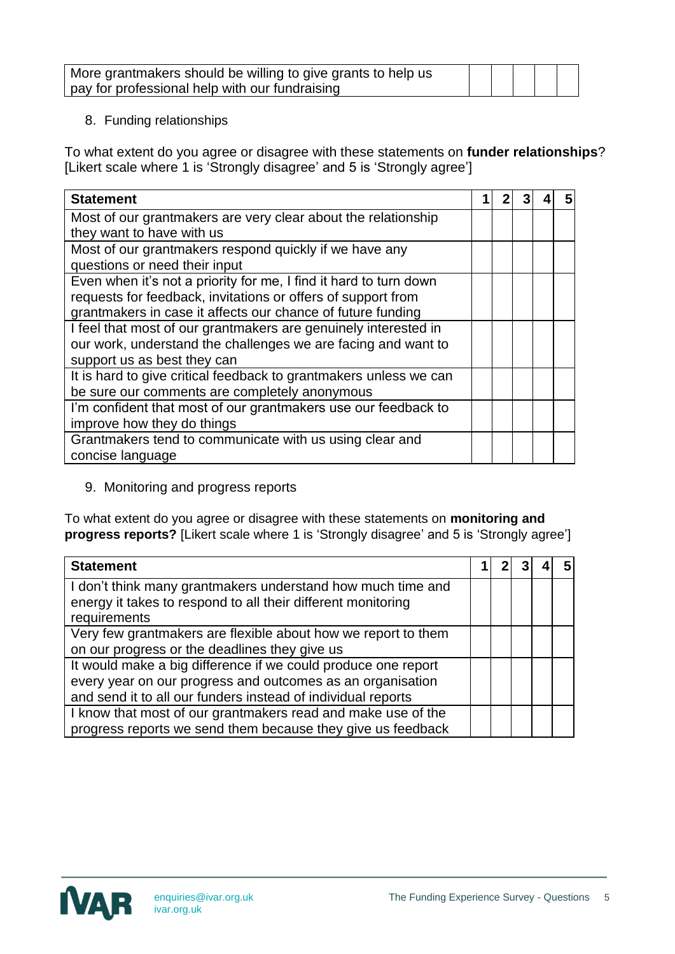| More grantmakers should be willing to give grants to help us |  |  |  |
|--------------------------------------------------------------|--|--|--|
| pay for professional help with our fundraising               |  |  |  |

### 8. Funding relationships

To what extent do you agree or disagree with these statements on **funder relationships**? [Likert scale where 1 is 'Strongly disagree' and 5 is 'Strongly agree']

| <b>Statement</b>                                                  |  |  | 5 |
|-------------------------------------------------------------------|--|--|---|
| Most of our grantmakers are very clear about the relationship     |  |  |   |
| they want to have with us                                         |  |  |   |
| Most of our grantmakers respond quickly if we have any            |  |  |   |
| questions or need their input                                     |  |  |   |
| Even when it's not a priority for me, I find it hard to turn down |  |  |   |
| requests for feedback, invitations or offers of support from      |  |  |   |
| grantmakers in case it affects our chance of future funding       |  |  |   |
| I feel that most of our grantmakers are genuinely interested in   |  |  |   |
| our work, understand the challenges we are facing and want to     |  |  |   |
| support us as best they can                                       |  |  |   |
| It is hard to give critical feedback to grantmakers unless we can |  |  |   |
| be sure our comments are completely anonymous                     |  |  |   |
| I'm confident that most of our grantmakers use our feedback to    |  |  |   |
| improve how they do things                                        |  |  |   |
| Grantmakers tend to communicate with us using clear and           |  |  |   |
| concise language                                                  |  |  |   |

9. Monitoring and progress reports

To what extent do you agree or disagree with these statements on **monitoring and progress reports?** [Likert scale where 1 is 'Strongly disagree' and 5 is 'Strongly agree']

| <b>Statement</b>                                              |  |  | 5 |
|---------------------------------------------------------------|--|--|---|
| I don't think many grantmakers understand how much time and   |  |  |   |
| energy it takes to respond to all their different monitoring  |  |  |   |
| requirements                                                  |  |  |   |
| Very few grantmakers are flexible about how we report to them |  |  |   |
| on our progress or the deadlines they give us                 |  |  |   |
| It would make a big difference if we could produce one report |  |  |   |
| every year on our progress and outcomes as an organisation    |  |  |   |
| and send it to all our funders instead of individual reports  |  |  |   |
| I know that most of our grantmakers read and make use of the  |  |  |   |
| progress reports we send them because they give us feedback   |  |  |   |

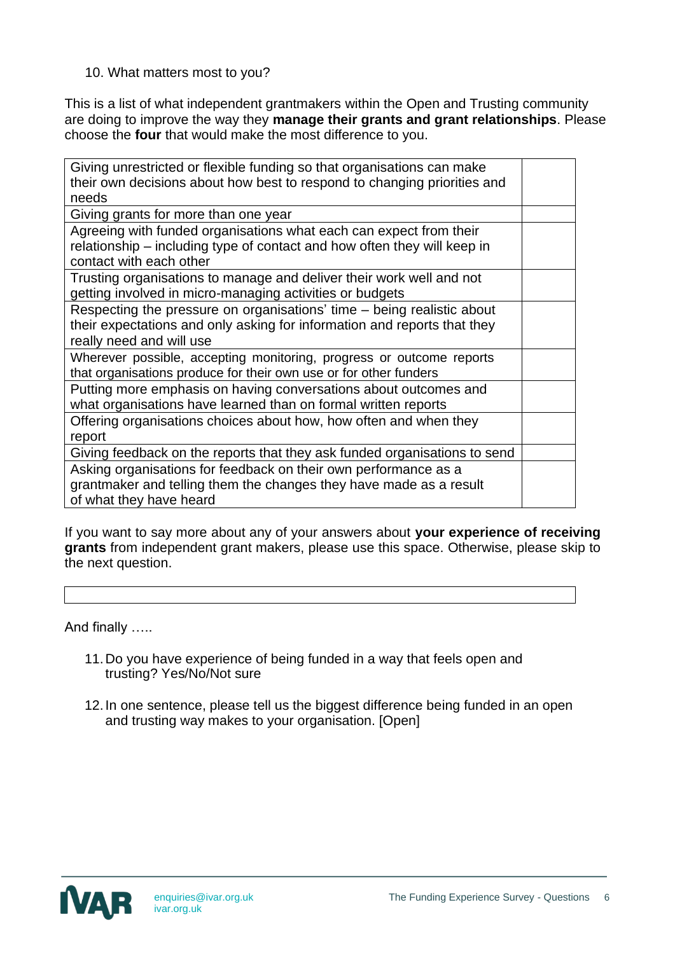### 10. What matters most to you?

This is a list of what independent grantmakers within the Open and Trusting community are doing to improve the way they **manage their grants and grant relationships**. Please choose the **four** that would make the most difference to you.

| Giving unrestricted or flexible funding so that organisations can make<br>their own decisions about how best to respond to changing priorities and                             |  |
|--------------------------------------------------------------------------------------------------------------------------------------------------------------------------------|--|
| needs                                                                                                                                                                          |  |
| Giving grants for more than one year                                                                                                                                           |  |
| Agreeing with funded organisations what each can expect from their<br>relationship – including type of contact and how often they will keep in<br>contact with each other      |  |
| Trusting organisations to manage and deliver their work well and not<br>getting involved in micro-managing activities or budgets                                               |  |
| Respecting the pressure on organisations' time - being realistic about<br>their expectations and only asking for information and reports that they<br>really need and will use |  |
| Wherever possible, accepting monitoring, progress or outcome reports<br>that organisations produce for their own use or for other funders                                      |  |
| Putting more emphasis on having conversations about outcomes and<br>what organisations have learned than on formal written reports                                             |  |
| Offering organisations choices about how, how often and when they<br>report                                                                                                    |  |
| Giving feedback on the reports that they ask funded organisations to send                                                                                                      |  |
| Asking organisations for feedback on their own performance as a<br>grantmaker and telling them the changes they have made as a result<br>of what they have heard               |  |

If you want to say more about any of your answers about **your experience of receiving grants** from independent grant makers, please use this space. Otherwise, please skip to the next question.

And finally …..

- 11.Do you have experience of being funded in a way that feels open and trusting? Yes/No/Not sure
- 12.In one sentence, please tell us the biggest difference being funded in an open and trusting way makes to your organisation. [Open]

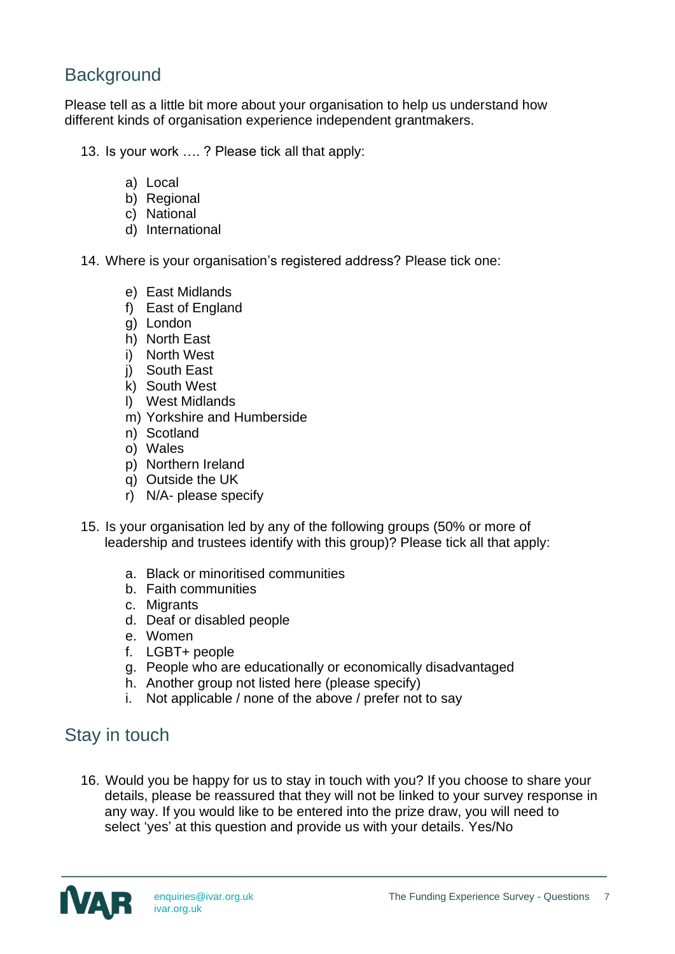# **Background**

Please tell as a little bit more about your organisation to help us understand how different kinds of organisation experience independent grantmakers.

- 13. Is your work …. ? Please tick all that apply:
	- a) Local
	- b) Regional
	- c) National
	- d) International
- 14. Where is your organisation's registered address? Please tick one:
	- e) East Midlands
	- f) East of England
	- g) London
	- h) North East
	- i) North West
	- j) South East
	- k) South West
	- l) West Midlands
	- m) Yorkshire and Humberside
	- n) Scotland
	- o) Wales
	- p) Northern Ireland
	- q) Outside the UK
	- r) N/A- please specify
- 15. Is your organisation led by any of the following groups (50% or more of leadership and trustees identify with this group)? Please tick all that apply:
	- a. Black or minoritised communities
	- b. Faith communities
	- c. Migrants
	- d. Deaf or disabled people
	- e. Women
	- f. LGBT+ people
	- g. People who are educationally or economically disadvantaged
	- h. Another group not listed here (please specify)
	- i. Not applicable / none of the above / prefer not to say

## Stay in touch

16. Would you be happy for us to stay in touch with you? If you choose to share your details, please be reassured that they will not be linked to your survey response in any way. If you would like to be entered into the prize draw, you will need to select 'yes' at this question and provide us with your details. Yes/No